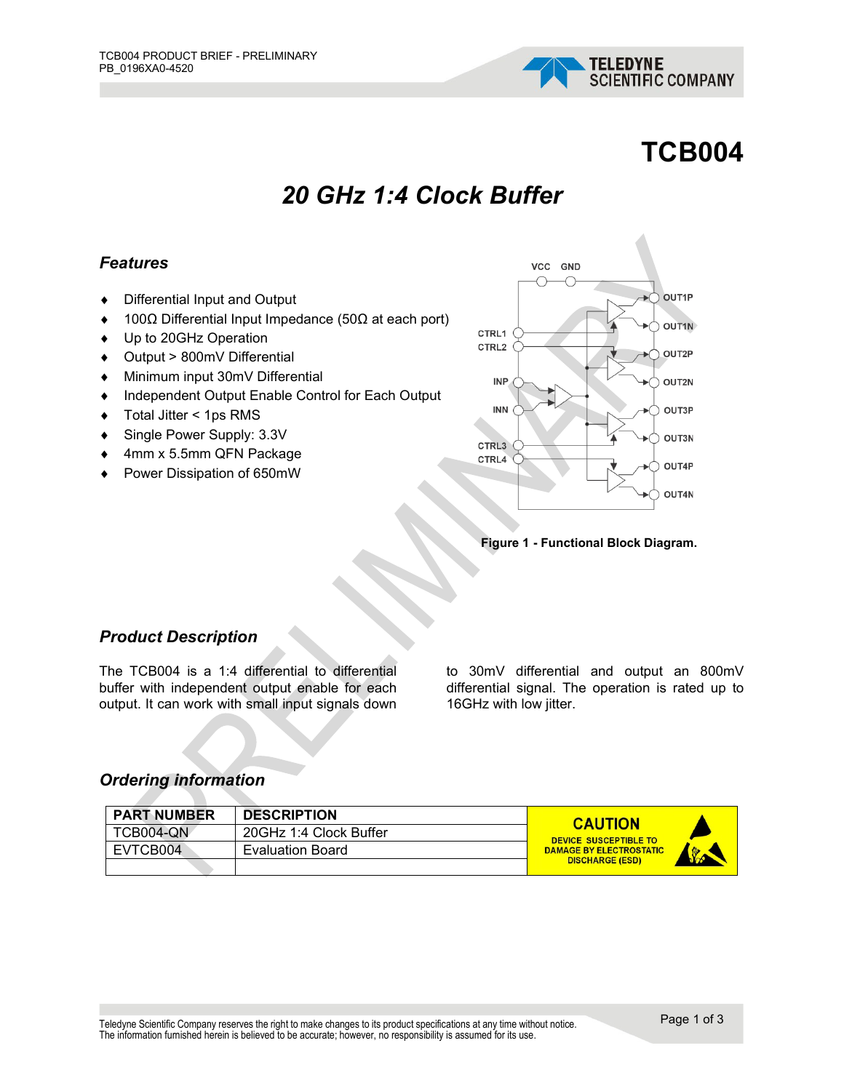

# **TCB004**

## *20 GHz 1:4 Clock Buffer*

#### *Features*

- ♦ Differential Input and Output
- ♦ 100Ω Differential Input Impedance (50Ω at each port)
- ♦ Up to 20GHz Operation
- ♦ Output > 800mV Differential
- ♦ Minimum input 30mV Differential
- ♦ Independent Output Enable Control for Each Output
- ♦ Total Jitter < 1ps RMS
- ♦ Single Power Supply: 3.3V
- ♦ 4mm x 5.5mm QFN Package
- ♦ Power Dissipation of 650mW



**Figure 1 - Functional Block Diagram.**

#### *Product Description*

The TCB004 is a 1:4 differential to differential buffer with independent output enable for each output. It can work with small input signals down

to 30mV differential and output an 800mV differential signal. The operation is rated up to 16GHz with low jitter.

#### *Ordering information*

| <b>PART NUMBER</b> | <b>DESCRIPTION</b>      | <b>CAUTION</b>                                  |
|--------------------|-------------------------|-------------------------------------------------|
| TCB004-QN          | 20GHz 1:4 Clock Buffer  | <b>DEVICE SUSCEPTIBLE TO</b>                    |
| EVTCB004           | <b>Evaluation Board</b> | <b>DAMAGE BY ELECTROSTATIC</b><br>$\sqrt[3]{2}$ |
|                    |                         | <b>DISCHARGE (ESD)</b>                          |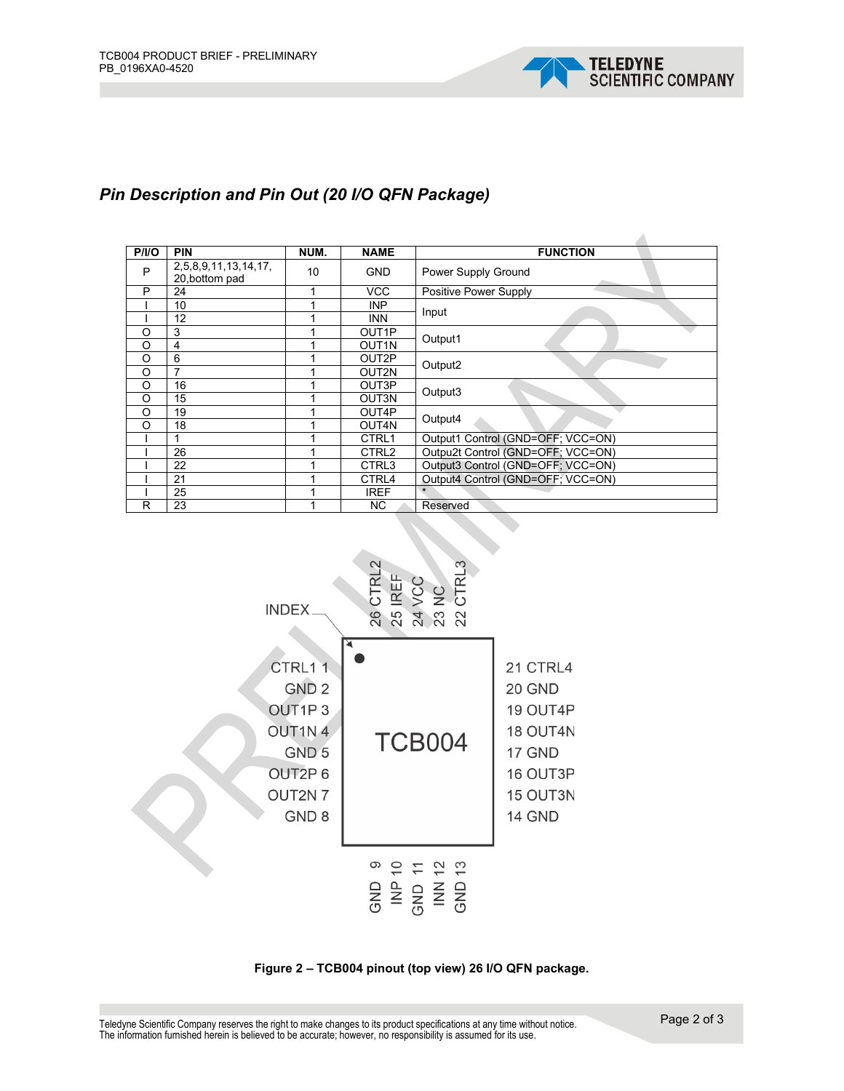

### *Pin Description and Pin Out (20 I/O QFN Package)*

| P/ I/O  | <b>PIN</b>                             | NUM. | <b>NAME</b>        | <b>FUNCTION</b>                   |  |
|---------|----------------------------------------|------|--------------------|-----------------------------------|--|
| P       | 2,5,8,9,11,13,14,17,<br>20, bottom pad | 10   | <b>GND</b>         | Power Supply Ground               |  |
| P       | 24                                     |      | <b>VCC</b>         | Positive Power Supply             |  |
|         | 10                                     |      | <b>INP</b>         | Input                             |  |
|         | 12                                     |      | <b>INN</b>         |                                   |  |
| O       | 3                                      |      | OUT <sub>1</sub> P | Output1                           |  |
| O       | 4                                      |      | OUT <sub>1N</sub>  |                                   |  |
| O       | 6                                      |      | OUT2P              | Output2                           |  |
| O       | $\overline{7}$                         |      | OUT2N              |                                   |  |
| O       | 16                                     |      | OUT3P              | Output3                           |  |
| O       | 15                                     |      | OUT3N              |                                   |  |
| O       | 19                                     |      | OUT4P              | Output4                           |  |
| $\circ$ | 18                                     |      | OUT4N              |                                   |  |
|         | 4                                      |      | CTRL1              | Output1 Control (GND=OFF; VCC=ON) |  |
|         | 26                                     |      | CTRL <sub>2</sub>  | Outpu2t Control (GND=OFF; VCC=ON) |  |
|         | 22                                     |      | CTRL3              | Output3 Control (GND=OFF; VCC=ON) |  |
|         | 21                                     |      | CTRL4              | Output4 Control (GND=OFF; VCC=ON) |  |
|         | 25                                     |      | <b>IREF</b>        | $\star$                           |  |
| R       | 23                                     |      | NC.                | Reserved                          |  |



**Figure 2 – TCB004 pinout (top view) 26 I/O QFN package.**